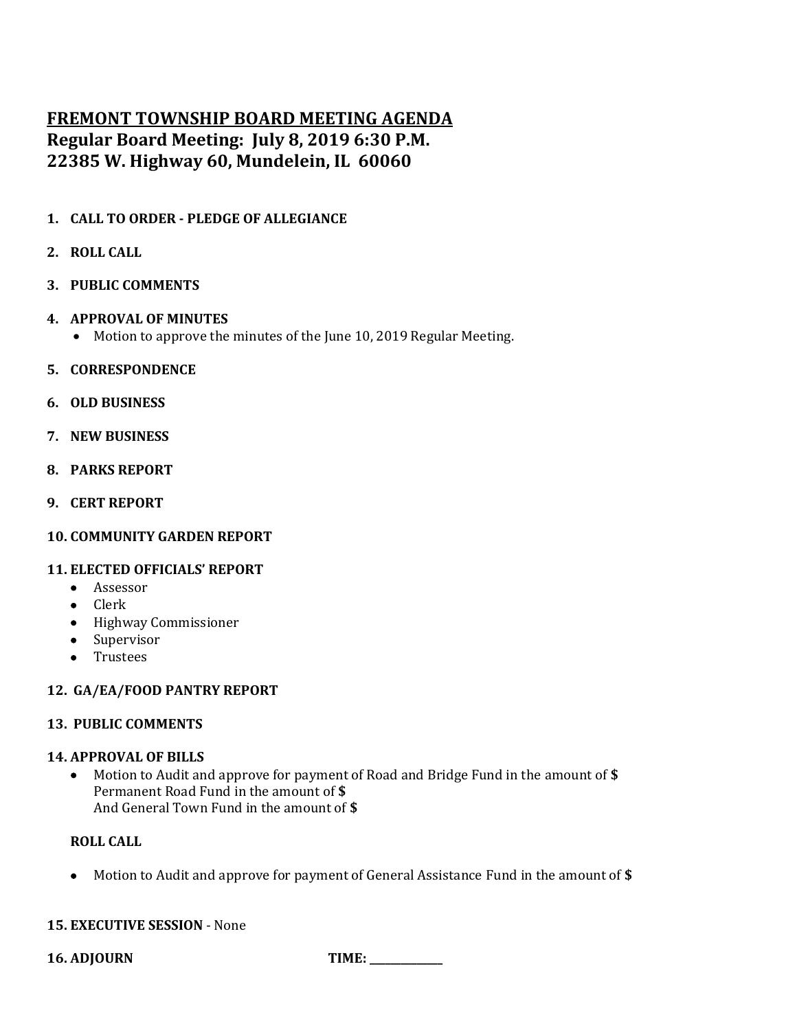# **FREMONT TOWNSHIP BOARD MEETING AGENDA Regular Board Meeting: July 8, 2019 6:30 P.M. 22385 W. Highway 60, Mundelein, IL 60060**

**1. CALL TO ORDER - PLEDGE OF ALLEGIANCE**

# **2. ROLL CALL**

- **3. PUBLIC COMMENTS**
- **4. APPROVAL OF MINUTES**
	- Motion to approve the minutes of the June 10, 2019 Regular Meeting.
- **5. CORRESPONDENCE**
- **6. OLD BUSINESS**
- **7. NEW BUSINESS**
- **8. PARKS REPORT**
- **9. CERT REPORT**

#### **10. COMMUNITY GARDEN REPORT**

#### **11. ELECTED OFFICIALS' REPORT**

- Assessor
- Clerk
- Highway Commissioner
- Supervisor
- Trustees

# **12. GA/EA/FOOD PANTRY REPORT**

## **13. PUBLIC COMMENTS**

#### **14. APPROVAL OF BILLS**

• Motion to Audit and approve for payment of Road and Bridge Fund in the amount of **\$** Permanent Road Fund in the amount of **\$** And General Town Fund in the amount of **\$**

#### **ROLL CALL**

• Motion to Audit and approve for payment of General Assistance Fund in the amount of **\$**

# **15. EXECUTIVE SESSION** - None

**16. ADJOURN TIME: \_\_\_\_\_\_\_\_\_\_\_\_\_\_**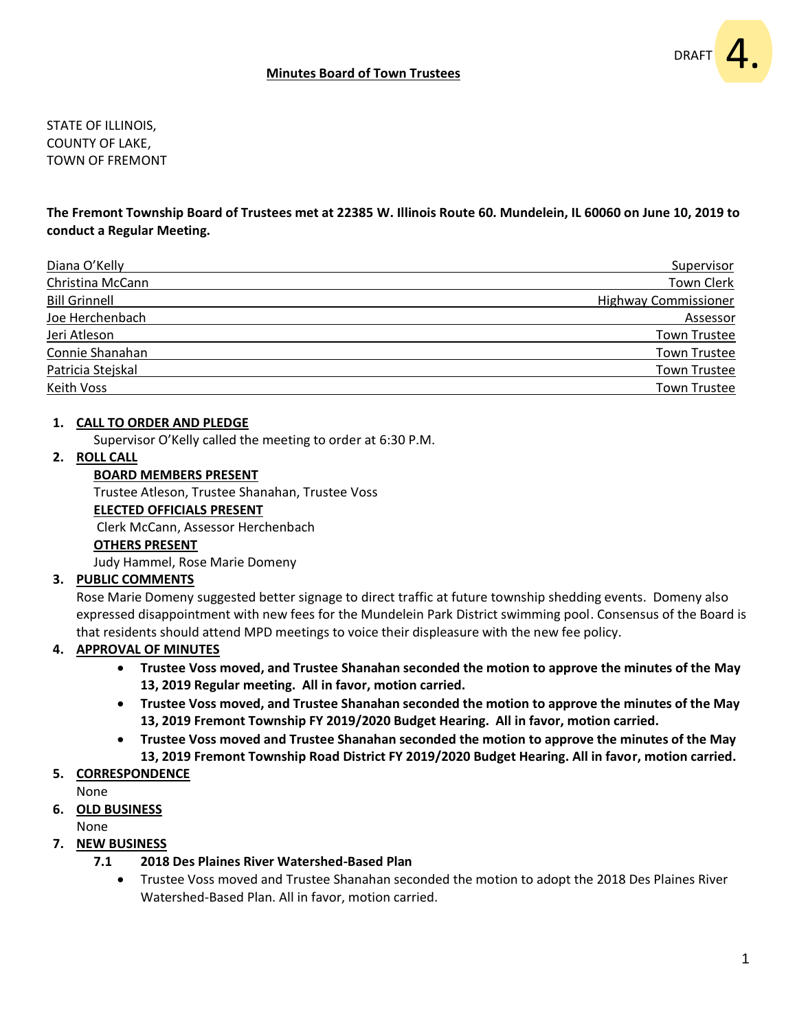STATE OF ILLINOIS, COUNTY OF LAKE, TOWN OF FREMONT

**The Fremont Township Board of Trustees met at 22385 W. Illinois Route 60. Mundelein, IL 60060 on June 10, 2019 to conduct a Regular Meeting.**

| Diana O'Kelly        | Supervisor                  |
|----------------------|-----------------------------|
| Christina McCann     | Town Clerk                  |
| <b>Bill Grinnell</b> | <b>Highway Commissioner</b> |
| Joe Herchenbach      | Assessor                    |
| Jeri Atleson         | <b>Town Trustee</b>         |
| Connie Shanahan      | <b>Town Trustee</b>         |
| Patricia Stejskal    | <b>Town Trustee</b>         |
| <b>Keith Voss</b>    | <b>Town Trustee</b>         |

#### **1. CALL TO ORDER AND PLEDGE**

Supervisor O'Kelly called the meeting to order at 6:30 P.M.

#### **2. ROLL CALL**

#### **BOARD MEMBERS PRESENT**

Trustee Atleson, Trustee Shanahan, Trustee Voss

#### **ELECTED OFFICIALS PRESENT**

Clerk McCann, Assessor Herchenbach

#### **OTHERS PRESENT**

Judy Hammel, Rose Marie Domeny

#### **3. PUBLIC COMMENTS**

Rose Marie Domeny suggested better signage to direct traffic at future township shedding events. Domeny also expressed disappointment with new fees for the Mundelein Park District swimming pool. Consensus of the Board is that residents should attend MPD meetings to voice their displeasure with the new fee policy.

#### **4. APPROVAL OF MINUTES**

- **Trustee Voss moved, and Trustee Shanahan seconded the motion to approve the minutes of the May 13, 2019 Regular meeting. All in favor, motion carried.**
- **Trustee Voss moved, and Trustee Shanahan seconded the motion to approve the minutes of the May 13, 2019 Fremont Township FY 2019/2020 Budget Hearing. All in favor, motion carried.**
- **Trustee Voss moved and Trustee Shanahan seconded the motion to approve the minutes of the May 13, 2019 Fremont Township Road District FY 2019/2020 Budget Hearing. All in favor, motion carried.**
- **5. CORRESPONDENCE**
- None

# **6. OLD BUSINESS**

None

#### **7. NEW BUSINESS**

#### **7.1 2018 Des Plaines River Watershed-Based Plan**

• Trustee Voss moved and Trustee Shanahan seconded the motion to adopt the 2018 Des Plaines River Watershed-Based Plan. All in favor, motion carried.

DRAFT

4.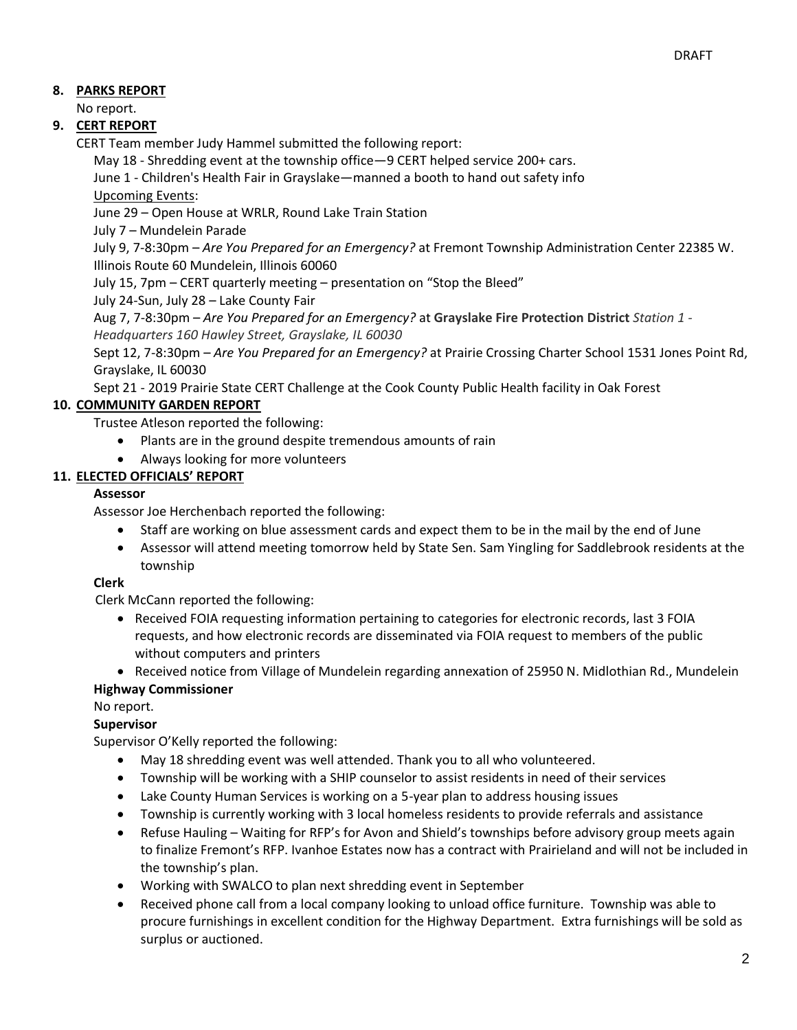# **8. PARKS REPORT**

No report.

# **9. CERT REPORT**

CERT Team member Judy Hammel submitted the following report:

May 18 - Shredding event at the township office—9 CERT helped service 200+ cars.

June 1 - Children's Health Fair in Grayslake—manned a booth to hand out safety info Upcoming Events:

June 29 – Open House at WRLR, Round Lake Train Station

July 7 – Mundelein Parade

July 9, 7-8:30pm – *Are You Prepared for an Emergency?* at Fremont Township Administration Center 22385 W. Illinois Route 60 Mundelein, Illinois 60060

July 15, 7pm – CERT quarterly meeting – presentation on "Stop the Bleed"

July 24-Sun, July 28 – Lake County Fair

Aug 7, 7-8:30pm – *Are You Prepared for an Emergency?* at **Grayslake Fire Protection District** *Station 1 - Headquarters 160 Hawley Street, Grayslake, IL 60030*

Sept 12, 7-8:30pm – *Are You Prepared for an Emergency?* at Prairie Crossing Charter School 1531 Jones Point Rd, Grayslake, IL 60030

Sept 21 - 2019 Prairie State CERT Challenge at the Cook County Public Health facility in Oak Forest

# **10. COMMUNITY GARDEN REPORT**

Trustee Atleson reported the following:

- Plants are in the ground despite tremendous amounts of rain
- Always looking for more volunteers

# **11. ELECTED OFFICIALS' REPORT**

### **Assessor**

Assessor Joe Herchenbach reported the following:

- Staff are working on blue assessment cards and expect them to be in the mail by the end of June
- Assessor will attend meeting tomorrow held by State Sen. Sam Yingling for Saddlebrook residents at the township

# **Clerk**

Clerk McCann reported the following:

- Received FOIA requesting information pertaining to categories for electronic records, last 3 FOIA requests, and how electronic records are disseminated via FOIA request to members of the public without computers and printers
- Received notice from Village of Mundelein regarding annexation of 25950 N. Midlothian Rd., Mundelein  **Highway Commissioner**

# No report.

# **Supervisor**

Supervisor O'Kelly reported the following:

- May 18 shredding event was well attended. Thank you to all who volunteered.
- Township will be working with a SHIP counselor to assist residents in need of their services
- Lake County Human Services is working on a 5-year plan to address housing issues
- Township is currently working with 3 local homeless residents to provide referrals and assistance
- Refuse Hauling Waiting for RFP's for Avon and Shield's townships before advisory group meets again to finalize Fremont's RFP. Ivanhoe Estates now has a contract with Prairieland and will not be included in the township's plan.
- Working with SWALCO to plan next shredding event in September
- Received phone call from a local company looking to unload office furniture. Township was able to procure furnishings in excellent condition for the Highway Department. Extra furnishings will be sold as surplus or auctioned.